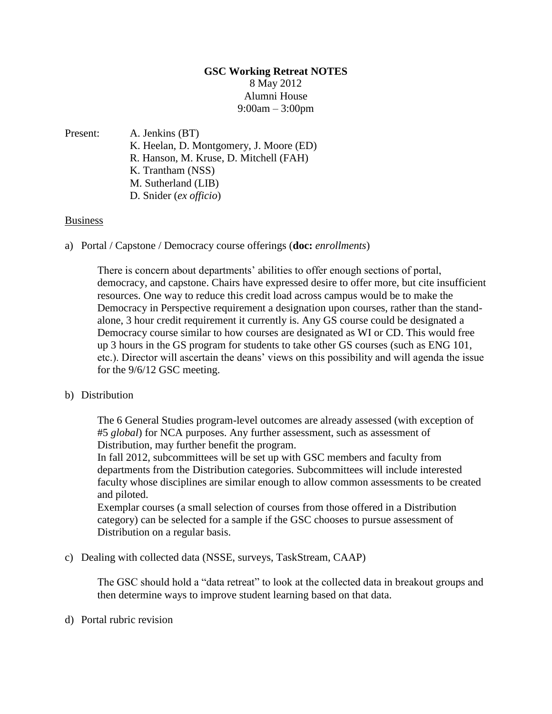## **GSC Working Retreat NOTES** 8 May 2012 Alumni House 9:00am – 3:00pm

Present: A. Jenkins (BT) K. Heelan, D. Montgomery, J. Moore (ED) R. Hanson, M. Kruse, D. Mitchell (FAH) K. Trantham (NSS) M. Sutherland (LIB) D. Snider (*ex officio*)

## Business

a) Portal / Capstone / Democracy course offerings (**doc:** *enrollments*)

There is concern about departments' abilities to offer enough sections of portal, democracy, and capstone. Chairs have expressed desire to offer more, but cite insufficient resources. One way to reduce this credit load across campus would be to make the Democracy in Perspective requirement a designation upon courses, rather than the standalone, 3 hour credit requirement it currently is. Any GS course could be designated a Democracy course similar to how courses are designated as WI or CD. This would free up 3 hours in the GS program for students to take other GS courses (such as ENG 101, etc.). Director will ascertain the deans' views on this possibility and will agenda the issue for the 9/6/12 GSC meeting.

## b) Distribution

The 6 General Studies program-level outcomes are already assessed (with exception of #5 *global*) for NCA purposes. Any further assessment, such as assessment of Distribution, may further benefit the program.

In fall 2012, subcommittees will be set up with GSC members and faculty from departments from the Distribution categories. Subcommittees will include interested faculty whose disciplines are similar enough to allow common assessments to be created and piloted.

Exemplar courses (a small selection of courses from those offered in a Distribution category) can be selected for a sample if the GSC chooses to pursue assessment of Distribution on a regular basis.

c) Dealing with collected data (NSSE, surveys, TaskStream, CAAP)

The GSC should hold a "data retreat" to look at the collected data in breakout groups and then determine ways to improve student learning based on that data.

## d) Portal rubric revision